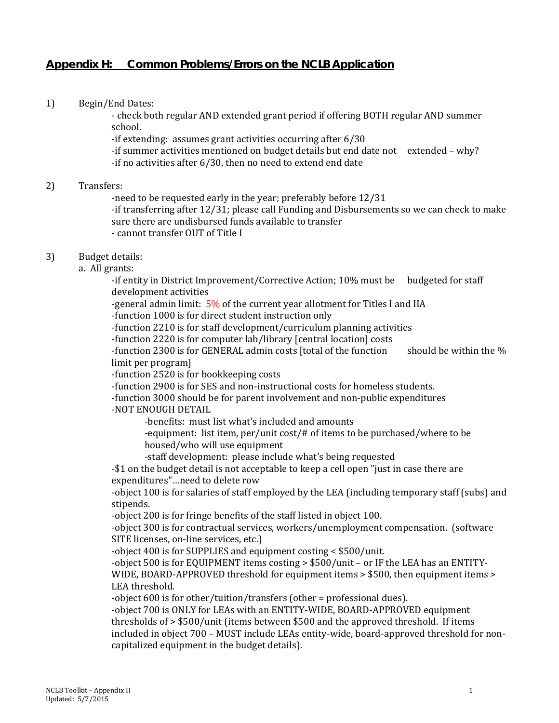# **Appendix H: Common Problems/Errors on the NCLB Application**

1) Begin/End Dates:

- check both regular AND extended grant period if offering BOTH regular AND summer school.

-if extending: assumes grant activities occurring after 6/30

 -if summer activities mentioned on budget details but end date not extended – why? -if no activities after 6/30, then no need to extend end date

#### 2) Transfers:

-need to be requested early in the year; preferably before 12/31

 -if transferring after 12/31; please call Funding and Disbursements so we can check to make sure there are undisbursed funds available to transfer

- cannot transfer OUT of Title I

# 3) Budget details:

a. All grants:

 -if entity in District Improvement/Corrective Action; 10% must be budgeted for staff development activities

-general admin limit:  $5\%$  of the current year allotment for Titles I and IIA

-function 1000 is for direct student instruction only

-function 2210 is for staff development/curriculum planning activities

-function 2220 is for computer lab/library [central location] costs

-function 2300 is for GENERAL admin costs [total of the function should be within the % limit per program]

-function 2520 is for bookkeeping costs

-function 2900 is for SES and non-instructional costs for homeless students.

-function 3000 should be for parent involvement and non-public expenditures

### -NOT ENOUGH DETAIL

-benefits: must list what's included and amounts

-equipment: list item, per/unit cost/# of items to be purchased/where to be housed/who will use equipment

-staff development: please include what's being requested

-\$1 on the budget detail is not acceptable to keep a cell open "just in case there are expenditures"…need to delete row

-object 100 is for salaries of staff employed by the LEA (including temporary staff (subs) and stipends.

-object 200 is for fringe benefits of the staff listed in object 100.

-object 300 is for contractual services, workers/unemployment compensation. (software SITE licenses, on-line services, etc.)

-object 400 is for SUPPLIES and equipment costing < \$500/unit.

-object 500 is for EQUIPMENT items costing > \$500/unit – or IF the LEA has an ENTITY-WIDE, BOARD-APPROVED threshold for equipment items > \$500, then equipment items > LEA threshold.

-object 600 is for other/tuition/transfers (other = professional dues).

-object 700 is ONLY for LEAs with an ENTITY-WIDE, BOARD-APPROVED equipment thresholds of > \$500/unit (items between \$500 and the approved threshold. If items included in object 700 – MUST include LEAs entity-wide, board-approved threshold for noncapitalized equipment in the budget details).